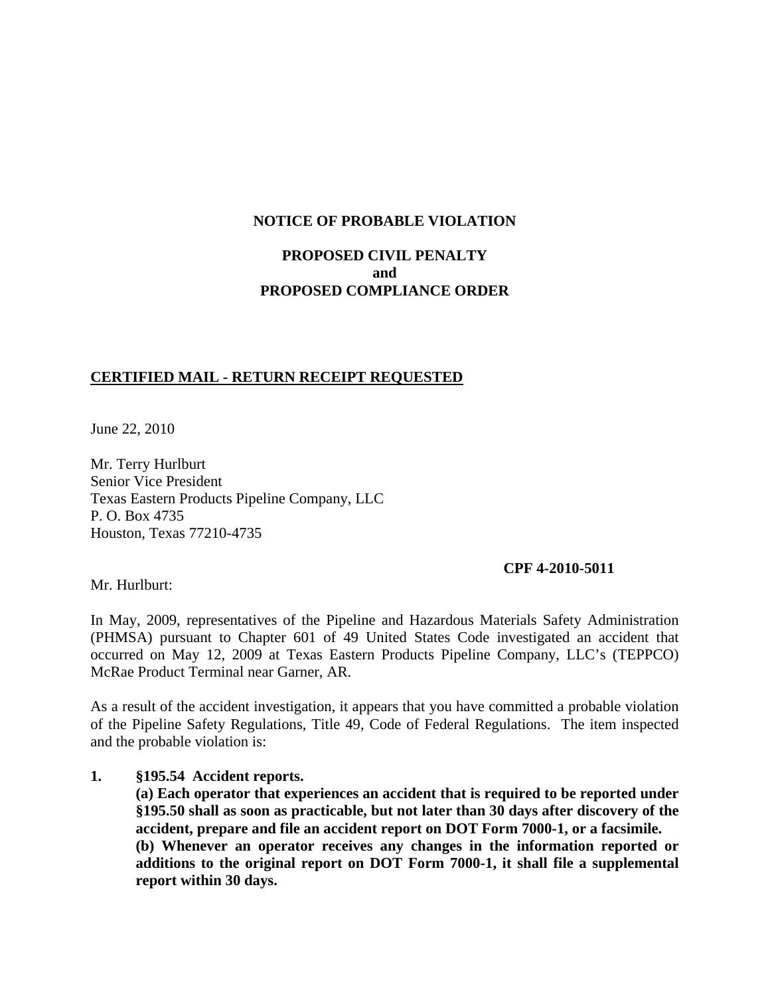### **NOTICE OF PROBABLE VIOLATION**

# **PROPOSED CIVIL PENALTY and PROPOSED COMPLIANCE ORDER**

## **CERTIFIED MAIL - RETURN RECEIPT REQUESTED**

June 22, 2010

Mr. Terry Hurlburt Senior Vice President Texas Eastern Products Pipeline Company, LLC P. O. Box 4735 Houston, Texas 77210-4735

#### **CPF 4-2010-5011**

Mr. Hurlburt:

In May, 2009, representatives of the Pipeline and Hazardous Materials Safety Administration (PHMSA) pursuant to Chapter 601 of 49 United States Code investigated an accident that occurred on May 12, 2009 at Texas Eastern Products Pipeline Company, LLC's (TEPPCO) McRae Product Terminal near Garner, AR.

As a result of the accident investigation, it appears that you have committed a probable violation of the Pipeline Safety Regulations, Title 49, Code of Federal Regulations. The item inspected and the probable violation is:

#### **1. §195.54 Accident reports.**

**(a) Each operator that experiences an accident that is required to be reported under §195.50 shall as soon as practicable, but not later than 30 days after discovery of the accident, prepare and file an accident report on DOT Form 7000-1, or a facsimile. (b) Whenever an operator receives any changes in the information reported or additions to the original report on DOT Form 7000-1, it shall file a supplemental report within 30 days.**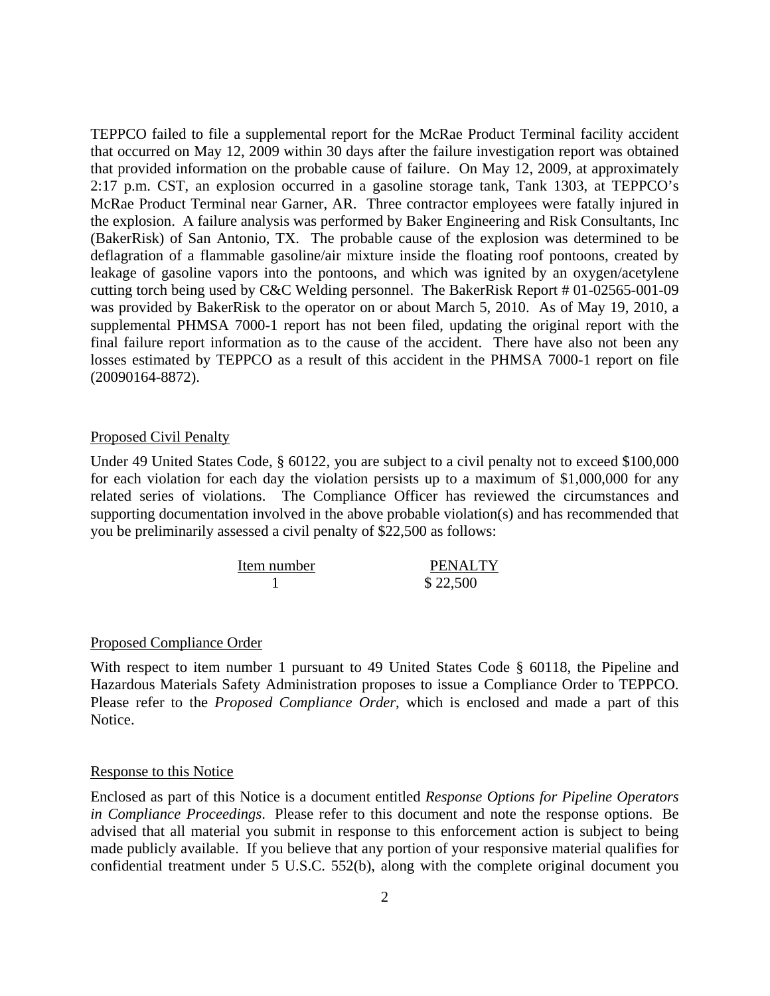TEPPCO failed to file a supplemental report for the McRae Product Terminal facility accident that occurred on May 12, 2009 within 30 days after the failure investigation report was obtained that provided information on the probable cause of failure. On May 12, 2009, at approximately 2:17 p.m. CST, an explosion occurred in a gasoline storage tank, Tank 1303, at TEPPCO's McRae Product Terminal near Garner, AR. Three contractor employees were fatally injured in the explosion. A failure analysis was performed by Baker Engineering and Risk Consultants, Inc (BakerRisk) of San Antonio, TX. The probable cause of the explosion was determined to be deflagration of a flammable gasoline/air mixture inside the floating roof pontoons, created by leakage of gasoline vapors into the pontoons, and which was ignited by an oxygen/acetylene cutting torch being used by C&C Welding personnel. The BakerRisk Report # 01-02565-001-09 was provided by BakerRisk to the operator on or about March 5, 2010. As of May 19, 2010, a supplemental PHMSA 7000-1 report has not been filed, updating the original report with the final failure report information as to the cause of the accident. There have also not been any losses estimated by TEPPCO as a result of this accident in the PHMSA 7000-1 report on file (20090164-8872).

#### Proposed Civil Penalty

Under 49 United States Code, § 60122, you are subject to a civil penalty not to exceed \$100,000 for each violation for each day the violation persists up to a maximum of \$1,000,000 for any related series of violations. The Compliance Officer has reviewed the circumstances and supporting documentation involved in the above probable violation(s) and has recommended that you be preliminarily assessed a civil penalty of \$22,500 as follows:

| Item number | <b>PENALTY</b> |
|-------------|----------------|
|             | \$22,500       |

#### Proposed Compliance Order

With respect to item number 1 pursuant to 49 United States Code § 60118, the Pipeline and Hazardous Materials Safety Administration proposes to issue a Compliance Order to TEPPCO. Please refer to the *Proposed Compliance Order*, which is enclosed and made a part of this Notice.

#### Response to this Notice

Enclosed as part of this Notice is a document entitled *Response Options for Pipeline Operators in Compliance Proceedings*. Please refer to this document and note the response options. Be advised that all material you submit in response to this enforcement action is subject to being made publicly available. If you believe that any portion of your responsive material qualifies for confidential treatment under 5 U.S.C. 552(b), along with the complete original document you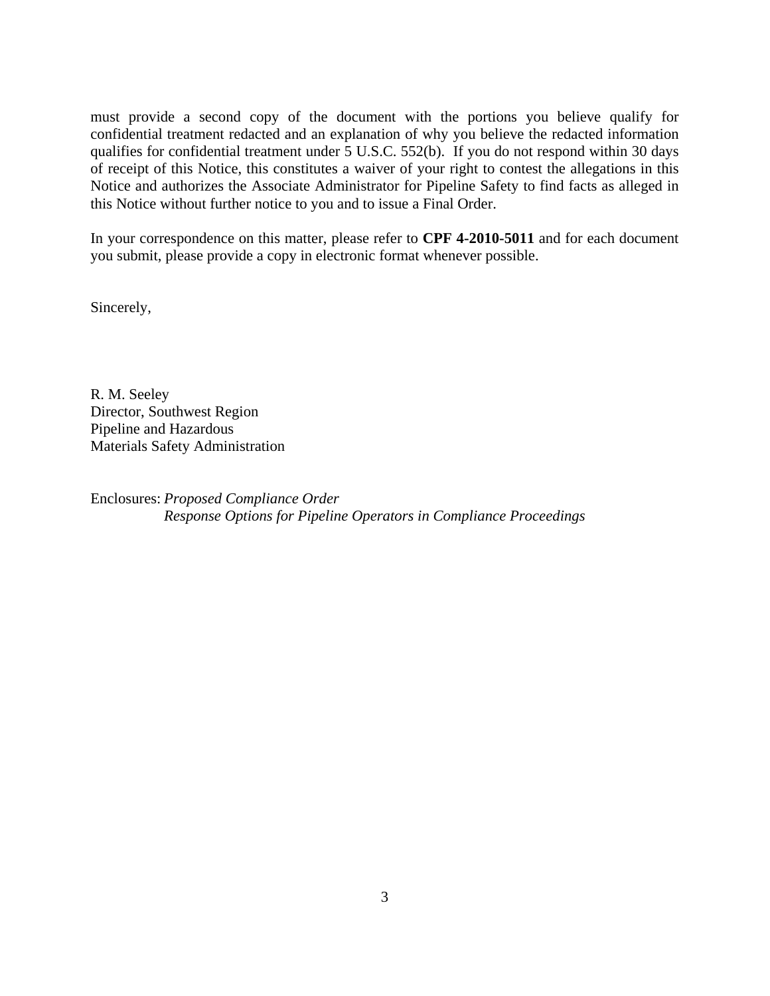must provide a second copy of the document with the portions you believe qualify for confidential treatment redacted and an explanation of why you believe the redacted information qualifies for confidential treatment under 5 U.S.C. 552(b). If you do not respond within 30 days of receipt of this Notice, this constitutes a waiver of your right to contest the allegations in this Notice and authorizes the Associate Administrator for Pipeline Safety to find facts as alleged in this Notice without further notice to you and to issue a Final Order.

In your correspondence on this matter, please refer to **CPF 4-2010-5011** and for each document you submit, please provide a copy in electronic format whenever possible.

Sincerely,

R. M. Seeley Director, Southwest Region Pipeline and Hazardous Materials Safety Administration

Enclosures: *Proposed Compliance Order Response Options for Pipeline Operators in Compliance Proceedings*